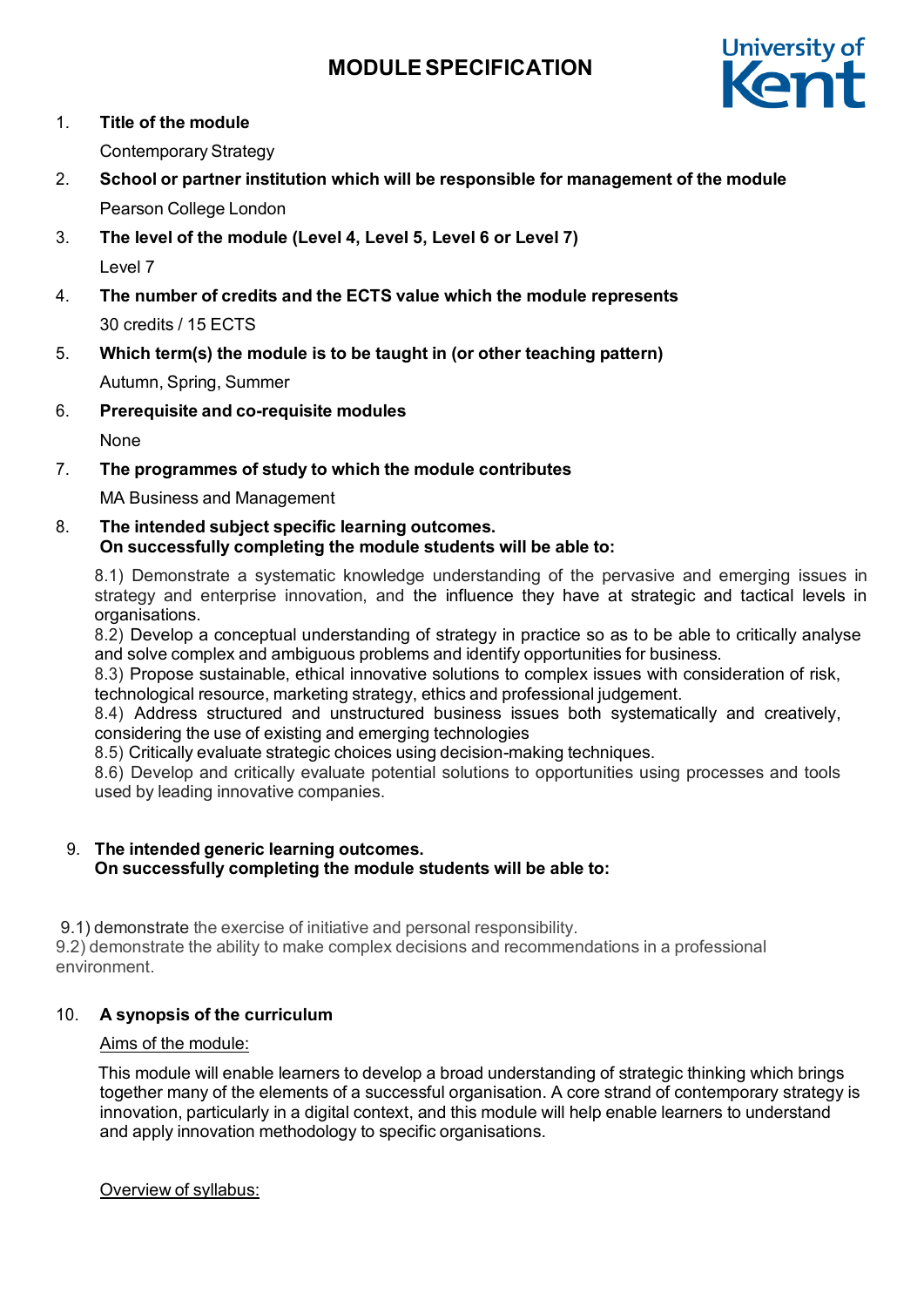

1. **Title of the module**

Contemporary Strategy

- 2. **School or partner institution which will be responsible for management of the module** Pearson College London
- 3. **The level of the module (Level 4, Level 5, Level 6 or Level 7)** Level 7
- 4. **The number of credits and the ECTS value which the module represents** 30 credits / 15 ECTS
- 5. **Which term(s) the module is to be taught in (or other teaching pattern)**

Autumn, Spring, Summer

6. **Prerequisite and co-requisite modules**

None

7. **The programmes of study to which the module contributes**

MA Business and Management

8. **The intended subject specific learning outcomes. On successfully completing the module students will be able to:**

8.1) Demonstrate a systematic knowledge understanding of the pervasive and emerging issues in strategy and enterprise innovation, and the influence they have at strategic and tactical levels in organisations.

8.2) Develop a conceptual understanding of strategy in practice so as to be able to critically analyse and solve complex and ambiguous problems and identify opportunities for business.

8.3) Propose sustainable, ethical innovative solutions to complex issues with consideration of risk, technological resource, marketing strategy, ethics and professional judgement.

8.4) Address structured and unstructured business issues both systematically and creatively, considering the use of existing and emerging technologies

8.5) Critically evaluate strategic choices using decision-making techniques.

8.6) Develop and critically evaluate potential solutions to opportunities using processes and tools used by leading innovative companies.

#### 9. **The intended generic learning outcomes. On successfully completing the module students will be able to:**

9.1) demonstrate the exercise of initiative and personal responsibility.

9.2) demonstrate the ability to make complex decisions and recommendations in a professional environment.

## 10. **A synopsis of the curriculum**

## Aims of the module:

This module will enable learners to develop a broad understanding of strategic thinking which brings together many of the elements of a successful organisation. A core strand of contemporary strategy is innovation, particularly in a digital context, and this module will help enable learners to understand and apply innovation methodology to specific organisations.

Overview of syllabus: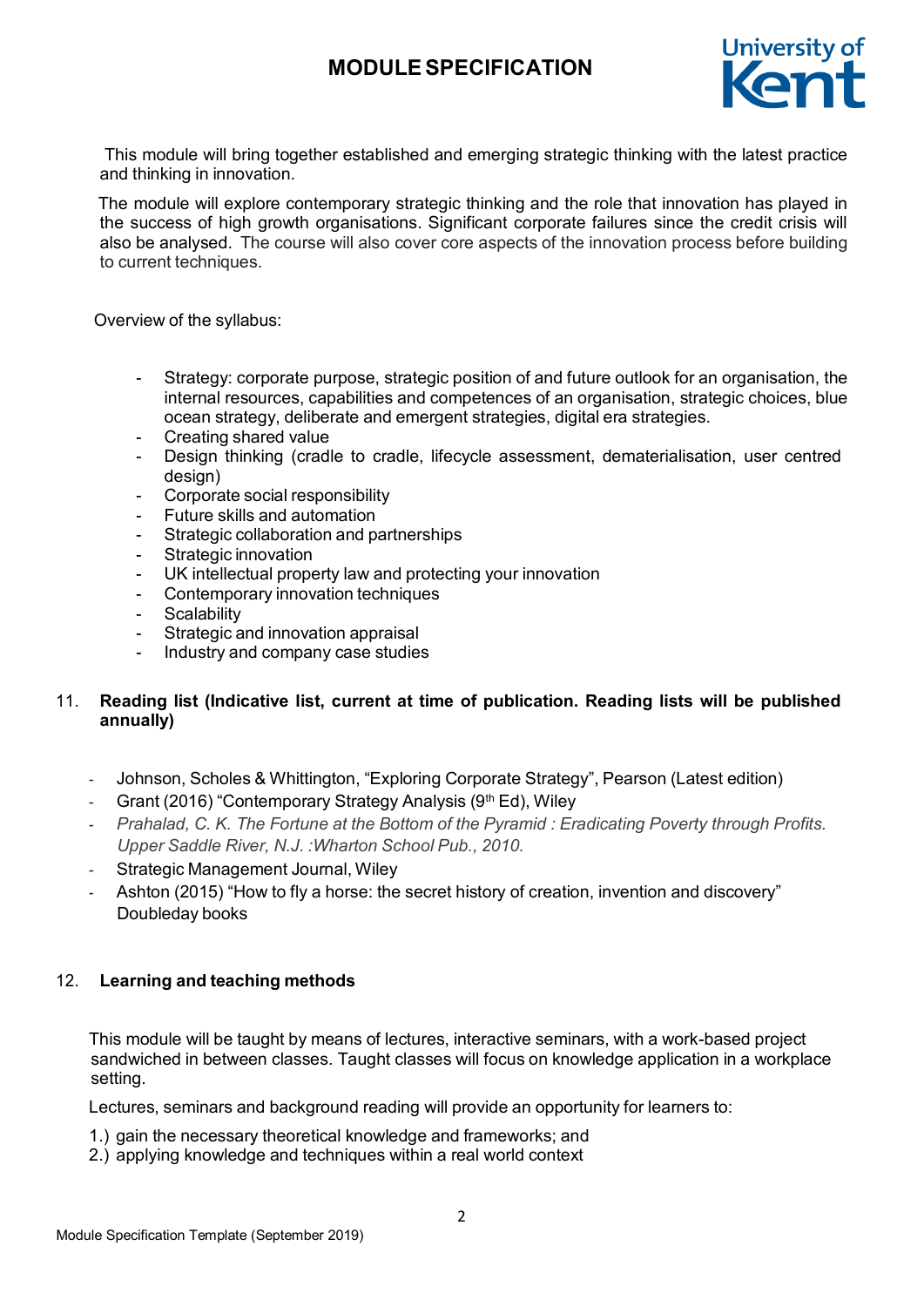

This module will bring together established and emerging strategic thinking with the latest practice and thinking in innovation.

The module will explore contemporary strategic thinking and the role that innovation has played in the success of high growth organisations. Significant corporate failures since the credit crisis will also be analysed. The course will also cover core aspects of the innovation process before building to current techniques.

Overview of the syllabus:

- Strategy: corporate purpose, strategic position of and future outlook for an organisation, the internal resources, capabilities and competences of an organisation, strategic choices, blue ocean strategy, deliberate and emergent strategies, digital era strategies.
- Creating shared value
- Design thinking (cradle to cradle, lifecycle assessment, dematerialisation, user centred design)
- Corporate social responsibility
- Future skills and automation
- Strategic collaboration and partnerships
- Strategic innovation
- UK intellectual property law and protecting your innovation
- Contemporary innovation techniques
- Scalability
- Strategic and innovation appraisal
- Industry and company case studies

### 11. **Reading list (Indicative list, current at time of publication. Reading lists will be published annually)**

- Johnson, Scholes & Whittington, "Exploring Corporate Strategy", Pearson (Latest edition)
- Grant (2016) "Contemporary Strategy Analysis (9th Ed), Wiley
- *Prahalad, C. K. The Fortune at the Bottom of the Pyramid : Eradicating Poverty through Profits. Upper Saddle River, N.J. :Wharton School Pub., 2010.*
- Strategic Management Journal, Wiley
- Ashton (2015) "How to fly a horse: the secret history of creation, invention and discovery" Doubleday books

#### 12. **Learning and teaching methods**

This module will be taught by means of lectures, interactive seminars, with a work-based project sandwiched in between classes. Taught classes will focus on knowledge application in a workplace setting.

Lectures, seminars and background reading will provide an opportunity for learners to:

- 1.) gain the necessary theoretical knowledge and frameworks; and
- 2.) applying knowledge and techniques within a real world context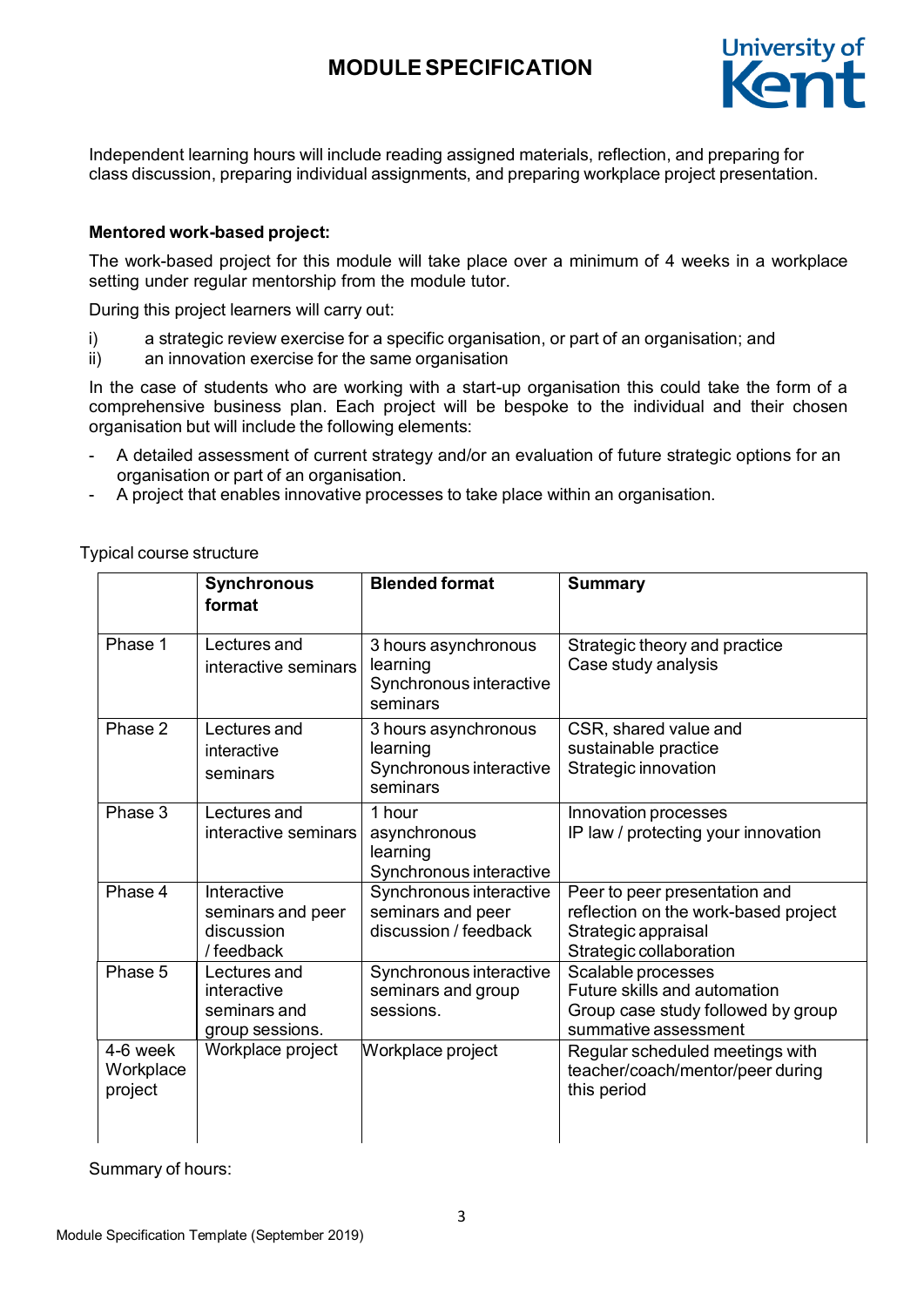

Independent learning hours will include reading assigned materials, reflection, and preparing for class discussion, preparing individual assignments, and preparing workplace project presentation.

### **Mentored work-based project:**

The work-based project for this module will take place over a minimum of 4 weeks in a workplace setting under regular mentorship from the module tutor.

During this project learners will carry out:

- i) a strategic review exercise for a specific organisation, or part of an organisation; and
- ii) an innovation exercise for the same organisation

In the case of students who are working with a start-up organisation this could take the form of a comprehensive business plan. Each project will be bespoke to the individual and their chosen organisation but will include the following elements:

- A detailed assessment of current strategy and/or an evaluation of future strategic options for an organisation or part of an organisation.
- A project that enables innovative processes to take place within an organisation.

Typical course structure

|                                  | <b>Synchronous</b><br>format                                   | <b>Blended format</b>                                                   | <b>Summary</b>                                                                                                          |
|----------------------------------|----------------------------------------------------------------|-------------------------------------------------------------------------|-------------------------------------------------------------------------------------------------------------------------|
| Phase 1                          | Lectures and<br>interactive seminars                           | 3 hours asynchronous<br>learning<br>Synchronous interactive<br>seminars | Strategic theory and practice<br>Case study analysis                                                                    |
| Phase 2                          | Lectures and<br>interactive<br>seminars                        | 3 hours asynchronous<br>learning<br>Synchronous interactive<br>seminars | CSR, shared value and<br>sustainable practice<br>Strategic innovation                                                   |
| Phase 3                          | Lectures and<br>interactive seminars                           | 1 hour<br>asynchronous<br>learning<br>Synchronous interactive           | Innovation processes<br>IP law / protecting your innovation                                                             |
| Phase 4                          | Interactive<br>seminars and peer<br>discussion<br>/ feedback   | Synchronous interactive<br>seminars and peer<br>discussion / feedback   | Peer to peer presentation and<br>reflection on the work-based project<br>Strategic appraisal<br>Strategic collaboration |
| Phase 5                          | Lectures and<br>interactive<br>seminars and<br>group sessions. | Synchronous interactive<br>seminars and group<br>sessions.              | Scalable processes<br>Future skills and automation<br>Group case study followed by group<br>summative assessment        |
| 4-6 week<br>Workplace<br>project | Workplace project                                              | Workplace project                                                       | Regular scheduled meetings with<br>teacher/coach/mentor/peer during<br>this period                                      |

Summary of hours: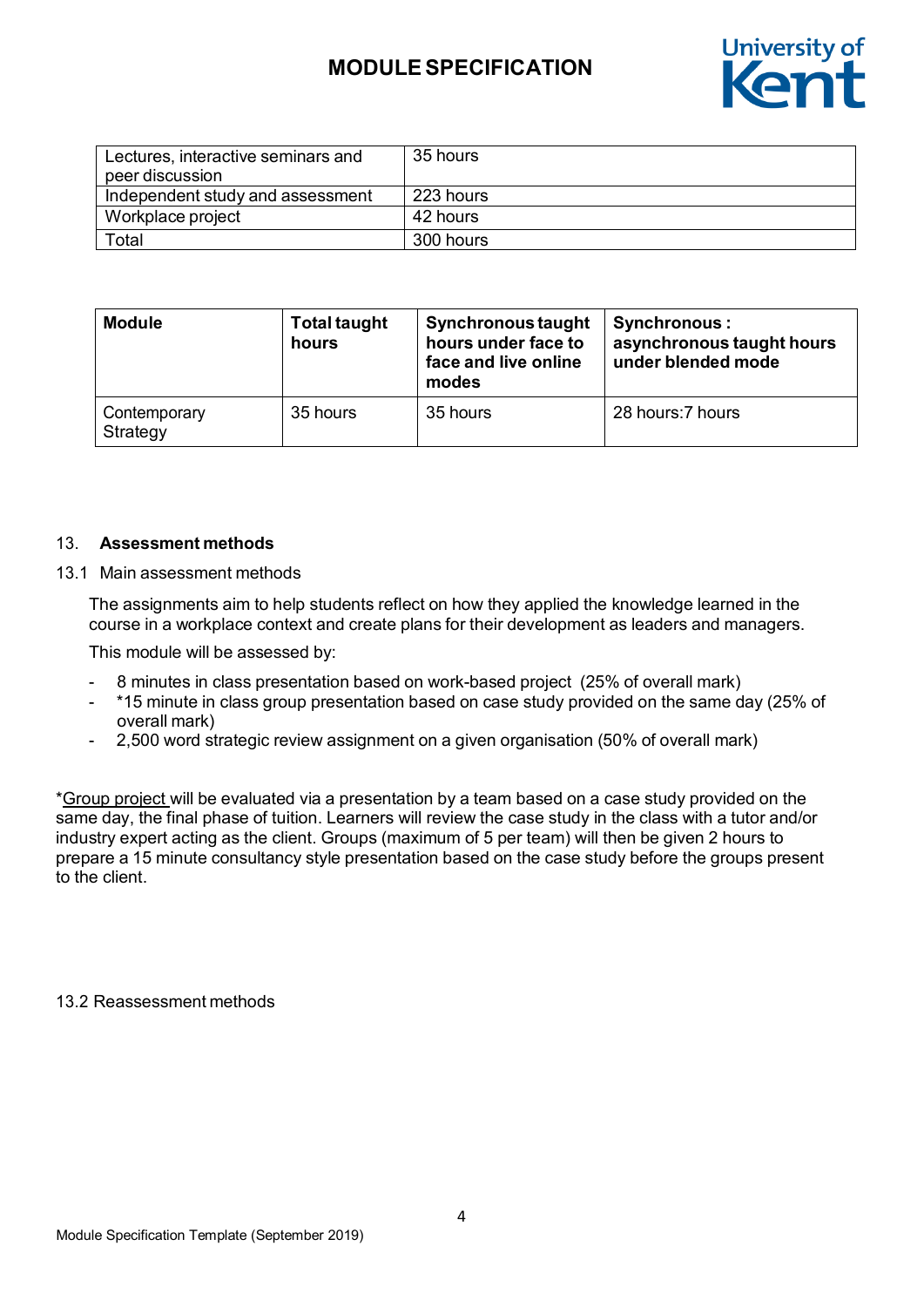

| Lectures, interactive seminars and<br>peer discussion | 35 hours  |
|-------------------------------------------------------|-----------|
| Independent study and assessment                      | 223 hours |
| Workplace project                                     | 42 hours  |
| Total                                                 | 300 hours |

| <b>Module</b>            | <b>Total taught</b><br>hours | Synchronous taught<br>hours under face to<br>face and live online<br>modes | Synchronous:<br>asynchronous taught hours<br>under blended mode |
|--------------------------|------------------------------|----------------------------------------------------------------------------|-----------------------------------------------------------------|
| Contemporary<br>Strategy | 35 hours                     | 35 hours                                                                   | 28 hours: 7 hours                                               |

#### 13. **Assessment methods**

#### 13.1 Main assessment methods

The assignments aim to help students reflect on how they applied the knowledge learned in the course in a workplace context and create plans for their development as leaders and managers.

This module will be assessed by:

- 8 minutes in class presentation based on work-based project (25% of overall mark)
- \*15 minute in class group presentation based on case study provided on the same day (25% of overall mark)
- 2,500 word strategic review assignment on a given organisation (50% of overall mark)

\*Group project will be evaluated via a presentation by a team based on a case study provided on the same day, the final phase of tuition. Learners will review the case study in the class with a tutor and/or industry expert acting as the client. Groups (maximum of 5 per team) will then be given 2 hours to prepare a 15 minute consultancy style presentation based on the case study before the groups present to the client.

13.2 Reassessment methods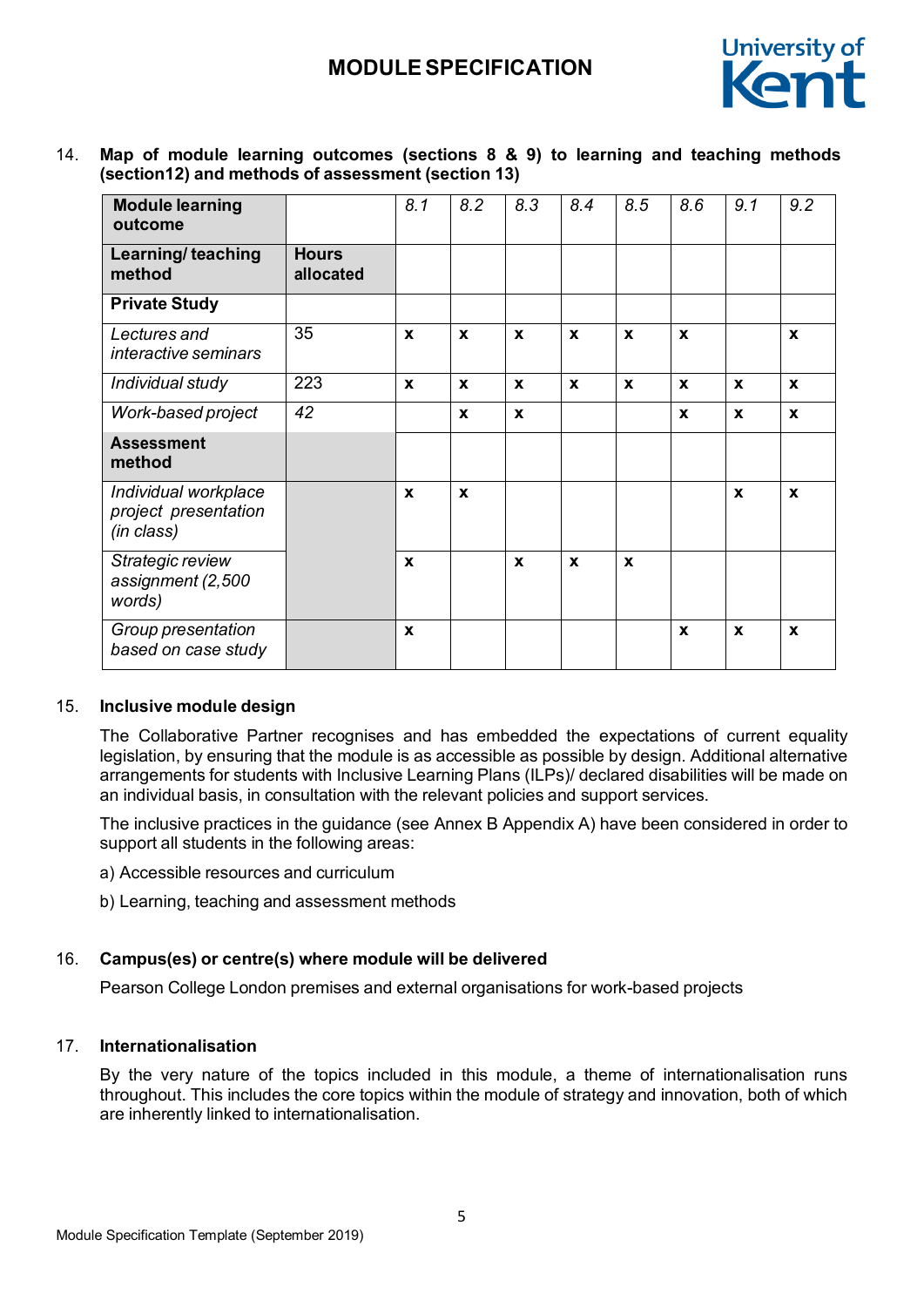

14. **Map of module learning outcomes (sections 8 & 9) to learning and teaching methods (section12) and methods of assessment (section 13)**

| <b>Module learning</b><br>outcome                          |                           | 8.1          | 8.2              | 8.3          | 8.4 | 8.5         | 8.6          | 9.1              | 9.2              |
|------------------------------------------------------------|---------------------------|--------------|------------------|--------------|-----|-------------|--------------|------------------|------------------|
| Learning/ teaching<br>method                               | <b>Hours</b><br>allocated |              |                  |              |     |             |              |                  |                  |
| <b>Private Study</b>                                       |                           |              |                  |              |     |             |              |                  |                  |
| Lectures and<br>interactive seminars                       | 35                        | X            | $\mathbf x$      | $\mathbf{x}$ | X   | X           | X            |                  | $\mathbf x$      |
| Individual study                                           | 223                       | X            | $\mathbf x$      | $\mathbf x$  | X   | X           | X            | $\boldsymbol{x}$ | $\mathbf x$      |
| Work-based project                                         | 42                        |              | $\mathbf{x}$     | $\mathbf x$  |     |             | X            | $\mathbf{x}$     | $\mathbf x$      |
| <b>Assessment</b><br>method                                |                           |              |                  |              |     |             |              |                  |                  |
| Individual workplace<br>project presentation<br>(in class) |                           | X            | $\boldsymbol{x}$ |              |     |             |              | $\mathbf x$      | $\boldsymbol{x}$ |
| Strategic review<br>assignment (2,500<br>words)            |                           | X            |                  | X            | X   | $\mathbf x$ |              |                  |                  |
| Group presentation<br>based on case study                  |                           | $\mathbf{x}$ |                  |              |     |             | $\mathbf{x}$ | $\mathbf x$      | $\mathbf x$      |

#### 15. **Inclusive module design**

The Collaborative Partner recognises and has embedded the expectations of current equality legislation, by ensuring that the module is as accessible as possible by design. Additional alternative arrangements for students with Inclusive Learning Plans (ILPs)/ declared disabilities will be made on an individual basis, in consultation with the relevant policies and support services.

The inclusive practices in the guidance (see Annex B Appendix A) have been considered in order to support all students in the following areas:

- a) Accessible resources and curriculum
- b) Learning, teaching and assessment methods

### 16. **Campus(es) or centre(s) where module will be delivered**

Pearson College London premises and external organisations for work-based projects

### 17. **Internationalisation**

By the very nature of the topics included in this module, a theme of internationalisation runs throughout. This includes the core topics within the module of strategy and innovation, both of which are inherently linked to internationalisation.